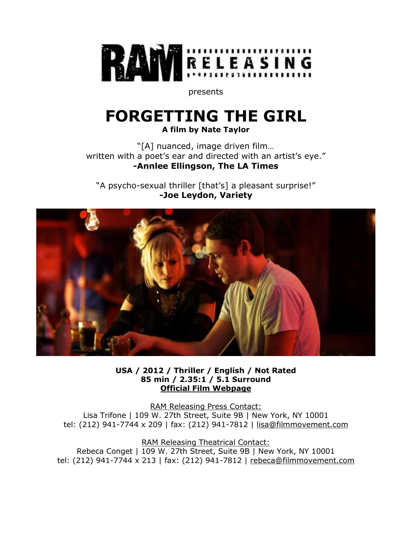

presents

# **FORGETTING THE GIRL**

**A film by Nate Taylor**

"[A] nuanced, image driven film… written with a poet's ear and directed with an artist's eye." **-Annlee Ellingson, The LA Times**

"A psycho-sexual thriller [that's] a pleasant surprise!" **-Joe Leydon, Variety**



**USA / 2012 / Thriller / English / Not Rated 85 min / 2.35:1 / 5.1 Surround [Official Film Webpage](http://www.ramreleasing.com/films/forgettingthegirl)**

RAM Releasing Press Contact: Lisa Trifone | 109 W. 27th Street, Suite 9B | New York, NY 10001 tel: (212) 941-7744 x 209 | fax: (212) 941-7812 | [lisa@filmmovement.com](mailto:lisa@filmmovement.com)

RAM Releasing Theatrical Contact: Rebeca Conget | 109 W. 27th Street, Suite 9B | New York, NY 10001 tel: (212) 941-7744 x 213 | fax: (212) 941-7812 | [rebeca@filmmovement.com](mailto:rebeca@filmmovement.com)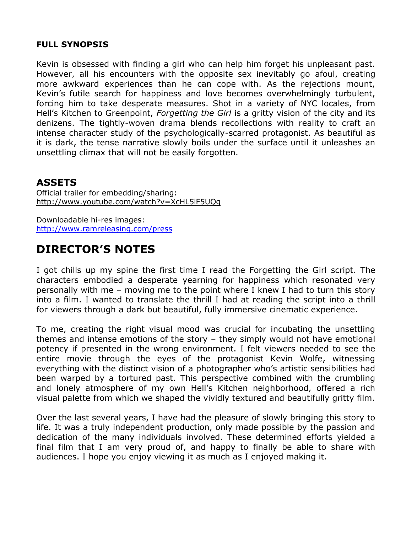#### **FULL SYNOPSIS**

Kevin is obsessed with finding a girl who can help him forget his unpleasant past. However, all his encounters with the opposite sex inevitably go afoul, creating more awkward experiences than he can cope with. As the rejections mount, Kevin's futile search for happiness and love becomes overwhelmingly turbulent, forcing him to take desperate measures. Shot in a variety of NYC locales, from Hell's Kitchen to Greenpoint, *Forgetting the Girl* is a gritty vision of the city and its denizens. The tightly-woven drama blends recollections with reality to craft an intense character study of the psychologically-scarred protagonist. As beautiful as it is dark, the tense narrative slowly boils under the surface until it unleashes an unsettling climax that will not be easily forgotten.

### **ASSETS**

Official trailer for embedding/sharing: <http://www.youtube.com/watch?v=XcHL5lF5UQg>

Downloadable hi-res images: <http://www.ramreleasing.com/press>

## **DIRECTOR'S NOTES**

I got chills up my spine the first time I read the Forgetting the Girl script. The characters embodied a desperate yearning for happiness which resonated very personally with me – moving me to the point where I knew I had to turn this story into a film. I wanted to translate the thrill I had at reading the script into a thrill for viewers through a dark but beautiful, fully immersive cinematic experience.

To me, creating the right visual mood was crucial for incubating the unsettling themes and intense emotions of the story – they simply would not have emotional potency if presented in the wrong environment. I felt viewers needed to see the entire movie through the eyes of the protagonist Kevin Wolfe, witnessing everything with the distinct vision of a photographer who's artistic sensibilities had been warped by a tortured past. This perspective combined with the crumbling and lonely atmosphere of my own Hell's Kitchen neighborhood, offered a rich visual palette from which we shaped the vividly textured and beautifully gritty film.

Over the last several years, I have had the pleasure of slowly bringing this story to life. It was a truly independent production, only made possible by the passion and dedication of the many individuals involved. These determined efforts yielded a final film that I am very proud of, and happy to finally be able to share with audiences. I hope you enjoy viewing it as much as I enjoyed making it.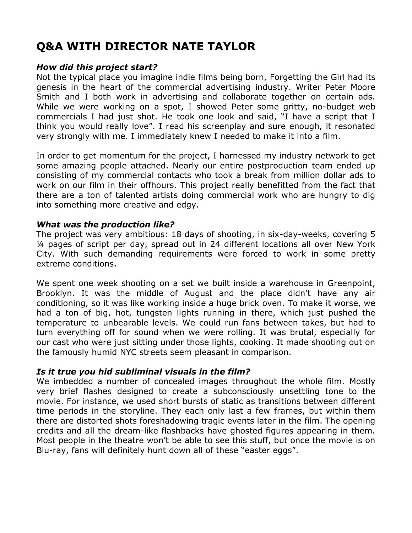## **Q&A WITH DIRECTOR NATE TAYLOR**

#### *How did this project start?*

Not the typical place you imagine indie films being born, Forgetting the Girl had its genesis in the heart of the commercial advertising industry. Writer Peter Moore Smith and I both work in advertising and collaborate together on certain ads. While we were working on a spot, I showed Peter some gritty, no-budget web commercials I had just shot. He took one look and said, "I have a script that I think you would really love". I read his screenplay and sure enough, it resonated very strongly with me. I immediately knew I needed to make it into a film.

In order to get momentum for the project, I harnessed my industry network to get some amazing people attached. Nearly our entire postproduction team ended up consisting of my commercial contacts who took a break from million dollar ads to work on our film in their offhours. This project really benefitted from the fact that there are a ton of talented artists doing commercial work who are hungry to dig into something more creative and edgy.

#### *What was the production like?*

The project was very ambitious: 18 days of shooting, in six-day-weeks, covering 5 ¼ pages of script per day, spread out in 24 different locations all over New York City. With such demanding requirements were forced to work in some pretty extreme conditions.

We spent one week shooting on a set we built inside a warehouse in Greenpoint, Brooklyn. It was the middle of August and the place didn't have any air conditioning, so it was like working inside a huge brick oven. To make it worse, we had a ton of big, hot, tungsten lights running in there, which just pushed the temperature to unbearable levels. We could run fans between takes, but had to turn everything off for sound when we were rolling. It was brutal, especially for our cast who were just sitting under those lights, cooking. It made shooting out on the famously humid NYC streets seem pleasant in comparison.

#### *Is it true you hid subliminal visuals in the film?*

We imbedded a number of concealed images throughout the whole film. Mostly very brief flashes designed to create a subconsciously unsettling tone to the movie. For instance, we used short bursts of static as transitions between different time periods in the storyline. They each only last a few frames, but within them there are distorted shots foreshadowing tragic events later in the film. The opening credits and all the dream-like flashbacks have ghosted figures appearing in them. Most people in the theatre won't be able to see this stuff, but once the movie is on Blu-ray, fans will definitely hunt down all of these "easter eggs".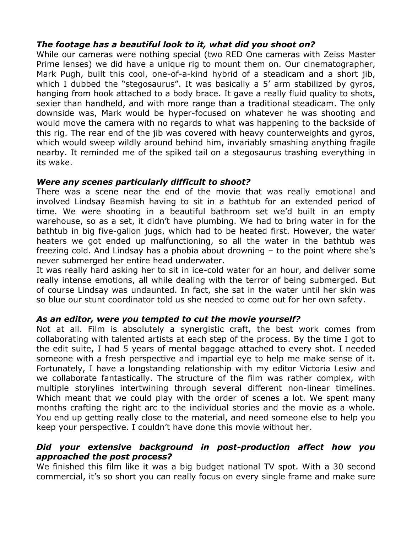#### *The footage has a beautiful look to it, what did you shoot on?*

While our cameras were nothing special (two RED One cameras with Zeiss Master Prime lenses) we did have a unique rig to mount them on. Our cinematographer, Mark Pugh, built this cool, one-of-a-kind hybrid of a steadicam and a short jib, which I dubbed the "stegosaurus". It was basically a 5' arm stabilized by gyros, hanging from hook attached to a body brace. It gave a really fluid quality to shots, sexier than handheld, and with more range than a traditional steadicam. The only downside was, Mark would be hyper-focused on whatever he was shooting and would move the camera with no regards to what was happening to the backside of this rig. The rear end of the jib was covered with heavy counterweights and gyros, which would sweep wildly around behind him, invariably smashing anything fragile nearby. It reminded me of the spiked tail on a stegosaurus trashing everything in its wake.

#### *Were any scenes particularly difficult to shoot?*

There was a scene near the end of the movie that was really emotional and involved Lindsay Beamish having to sit in a bathtub for an extended period of time. We were shooting in a beautiful bathroom set we'd built in an empty warehouse, so as a set, it didn't have plumbing. We had to bring water in for the bathtub in big five-gallon jugs, which had to be heated first. However, the water heaters we got ended up malfunctioning, so all the water in the bathtub was freezing cold. And Lindsay has a phobia about drowning – to the point where she's never submerged her entire head underwater.

It was really hard asking her to sit in ice-cold water for an hour, and deliver some really intense emotions, all while dealing with the terror of being submerged. But of course Lindsay was undaunted. In fact, she sat in the water until her skin was so blue our stunt coordinator told us she needed to come out for her own safety.

#### *As an editor, were you tempted to cut the movie yourself?*

Not at all. Film is absolutely a synergistic craft, the best work comes from collaborating with talented artists at each step of the process. By the time I got to the edit suite, I had 5 years of mental baggage attached to every shot. I needed someone with a fresh perspective and impartial eye to help me make sense of it. Fortunately, I have a longstanding relationship with my editor Victoria Lesiw and we collaborate fantastically. The structure of the film was rather complex, with multiple storylines intertwining through several different non-linear timelines. Which meant that we could play with the order of scenes a lot. We spent many months crafting the right arc to the individual stories and the movie as a whole. You end up getting really close to the material, and need someone else to help you keep your perspective. I couldn't have done this movie without her.

#### *Did your extensive background in post-production affect how you approached the post process?*

We finished this film like it was a big budget national TV spot. With a 30 second commercial, it's so short you can really focus on every single frame and make sure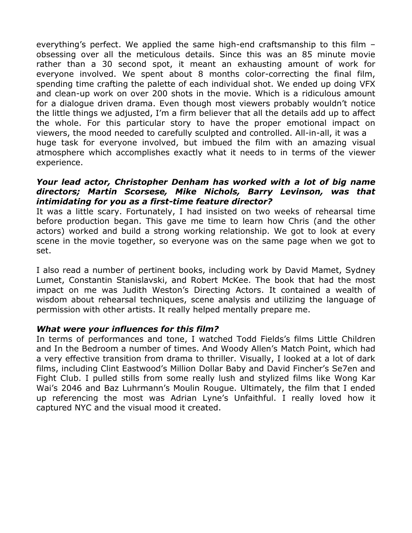everything's perfect. We applied the same high-end craftsmanship to this film – obsessing over all the meticulous details. Since this was an 85 minute movie rather than a 30 second spot, it meant an exhausting amount of work for everyone involved. We spent about 8 months color-correcting the final film, spending time crafting the palette of each individual shot. We ended up doing VFX and clean-up work on over 200 shots in the movie. Which is a ridiculous amount for a dialogue driven drama. Even though most viewers probably wouldn't notice the little things we adjusted, I'm a firm believer that all the details add up to affect the whole. For this particular story to have the proper emotional impact on viewers, the mood needed to carefully sculpted and controlled. All-in-all, it was a huge task for everyone involved, but imbued the film with an amazing visual atmosphere which accomplishes exactly what it needs to in terms of the viewer experience.

#### *Your lead actor, Christopher Denham has worked with a lot of big name directors; Martin Scorsese, Mike Nichols, Barry Levinson, was that intimidating for you as a first-time feature director?*

It was a little scary. Fortunately, I had insisted on two weeks of rehearsal time before production began. This gave me time to learn how Chris (and the other actors) worked and build a strong working relationship. We got to look at every scene in the movie together, so everyone was on the same page when we got to set.

I also read a number of pertinent books, including work by David Mamet, Sydney Lumet, Constantin Stanislavski, and Robert McKee. The book that had the most impact on me was Judith Weston's Directing Actors. It contained a wealth of wisdom about rehearsal techniques, scene analysis and utilizing the language of permission with other artists. It really helped mentally prepare me.

#### *What were your influences for this film?*

In terms of performances and tone, I watched Todd Fields's films Little Children and In the Bedroom a number of times. And Woody Allen's Match Point, which had a very effective transition from drama to thriller. Visually, I looked at a lot of dark films, including Clint Eastwood's Million Dollar Baby and David Fincher's Se7en and Fight Club. I pulled stills from some really lush and stylized films like Wong Kar Wai's 2046 and Baz Luhrmann's Moulin Rougue. Ultimately, the film that I ended up referencing the most was Adrian Lyne's Unfaithful. I really loved how it captured NYC and the visual mood it created.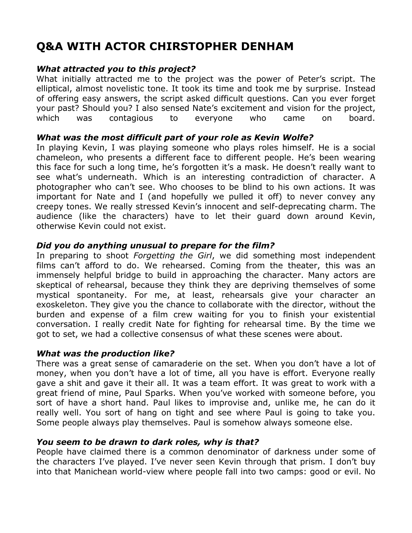## **Q&A WITH ACTOR CHIRSTOPHER DENHAM**

#### *What attracted you to this project?*

What initially attracted me to the project was the power of Peter's script. The elliptical, almost novelistic tone. It took its time and took me by surprise. Instead of offering easy answers, the script asked difficult questions. Can you ever forget your past? Should you? I also sensed Nate's excitement and vision for the project, which was contagious to everyone who came on board.

#### *What was the most difficult part of your role as Kevin Wolfe?*

In playing Kevin, I was playing someone who plays roles himself. He is a social chameleon, who presents a different face to different people. He's been wearing this face for such a long time, he's forgotten it's a mask. He doesn't really want to see what's underneath. Which is an interesting contradiction of character. A photographer who can't see. Who chooses to be blind to his own actions. It was important for Nate and I (and hopefully we pulled it off) to never convey any creepy tones. We really stressed Kevin's innocent and self-deprecating charm. The audience (like the characters) have to let their guard down around Kevin, otherwise Kevin could not exist.

#### *Did you do anything unusual to prepare for the film?*

In preparing to shoot *Forgetting the Girl*, we did something most independent films can't afford to do. We rehearsed. Coming from the theater, this was an immensely helpful bridge to build in approaching the character. Many actors are skeptical of rehearsal, because they think they are depriving themselves of some mystical spontaneity. For me, at least, rehearsals give your character an exoskeleton. They give you the chance to collaborate with the director, without the burden and expense of a film crew waiting for you to finish your existential conversation. I really credit Nate for fighting for rehearsal time. By the time we got to set, we had a collective consensus of what these scenes were about.

#### *What was the production like?*

There was a great sense of camaraderie on the set. When you don't have a lot of money, when you don't have a lot of time, all you have is effort. Everyone really gave a shit and gave it their all. It was a team effort. It was great to work with a great friend of mine, Paul Sparks. When you've worked with someone before, you sort of have a short hand. Paul likes to improvise and, unlike me, he can do it really well. You sort of hang on tight and see where Paul is going to take you. Some people always play themselves. Paul is somehow always someone else.

#### *You seem to be drawn to dark roles, why is that?*

People have claimed there is a common denominator of darkness under some of the characters I've played. I've never seen Kevin through that prism. I don't buy into that Manichean world-view where people fall into two camps: good or evil. No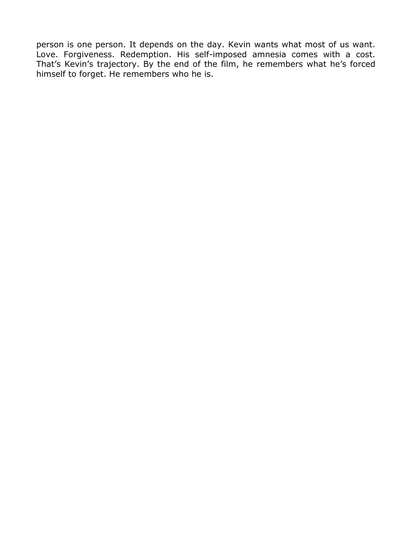person is one person. It depends on the day. Kevin wants what most of us want. Love. Forgiveness. Redemption. His self-imposed amnesia comes with a cost. That's Kevin's trajectory. By the end of the film, he remembers what he's forced himself to forget. He remembers who he is.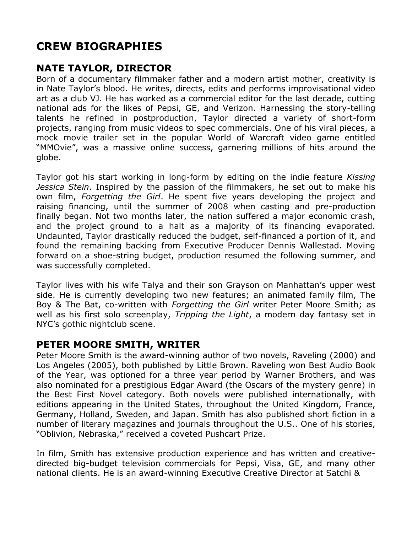## **CREW BIOGRAPHIES**

## **NATE TAYLOR, DIRECTOR**

Born of a documentary filmmaker father and a modern artist mother, creativity is in Nate Taylor's blood. He writes, directs, edits and performs improvisational video art as a club VJ. He has worked as a commercial editor for the last decade, cutting national ads for the likes of Pepsi, GE, and Verizon. Harnessing the story-telling talents he refined in postproduction, Taylor directed a variety of short-form projects, ranging from music videos to spec commercials. One of his viral pieces, a mock movie trailer set in the popular World of Warcraft video game entitled "MMOvie", was a massive online success, garnering millions of hits around the globe.

Taylor got his start working in long-form by editing on the indie feature *Kissing Jessica Stein*. Inspired by the passion of the filmmakers, he set out to make his own film, *Forgetting the Girl*. He spent five years developing the project and raising financing, until the summer of 2008 when casting and pre-production finally began. Not two months later, the nation suffered a major economic crash, and the project ground to a halt as a majority of its financing evaporated. Undaunted, Taylor drastically reduced the budget, self-financed a portion of it, and found the remaining backing from Executive Producer Dennis Wallestad. Moving forward on a shoe-string budget, production resumed the following summer, and was successfully completed.

Taylor lives with his wife Talya and their son Grayson on Manhattan's upper west side. He is currently developing two new features; an animated family film, The Boy & The Bat, co-written with *Forgetting the Girl* writer Peter Moore Smith; as well as his first solo screenplay, *Tripping the Light*, a modern day fantasy set in NYC's gothic nightclub scene.

## **PETER MOORE SMITH, WRITER**

Peter Moore Smith is the award-winning author of two novels, Raveling (2000) and Los Angeles (2005), both published by Little Brown. Raveling won Best Audio Book of the Year, was optioned for a three year period by Warner Brothers, and was also nominated for a prestigious Edgar Award (the Oscars of the mystery genre) in the Best First Novel category. Both novels were published internationally, with editions appearing in the United States, throughout the United Kingdom, France, Germany, Holland, Sweden, and Japan. Smith has also published short fiction in a number of literary magazines and journals throughout the U.S.. One of his stories, "Oblivion, Nebraska," received a coveted Pushcart Prize.

In film, Smith has extensive production experience and has written and creativedirected big-budget television commercials for Pepsi, Visa, GE, and many other national clients. He is an award-winning Executive Creative Director at Satchi &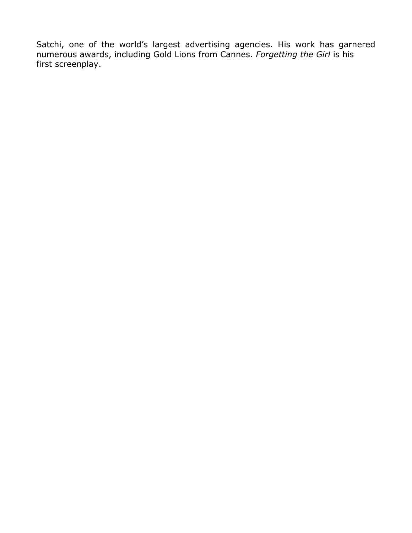Satchi, one of the world's largest advertising agencies. His work has garnered numerous awards, including Gold Lions from Cannes. *Forgetting the Girl* is his first screenplay.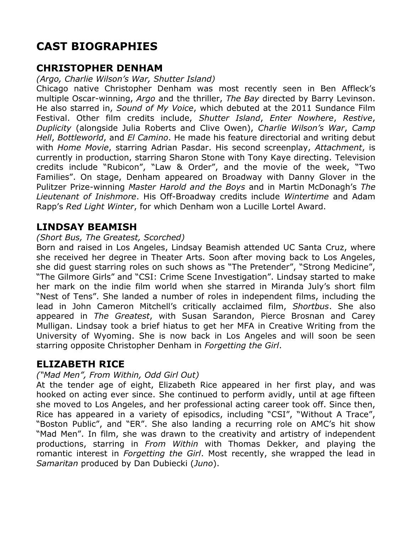## **CAST BIOGRAPHIES**

### **CHRISTOPHER DENHAM**

*(Argo, Charlie Wilson's War, Shutter Island)*

Chicago native Christopher Denham was most recently seen in Ben Affleck's multiple Oscar-winning, *Argo* and the thriller, *The Bay* directed by Barry Levinson. He also starred in, *Sound of My Voice*, which debuted at the 2011 Sundance Film Festival. Other film credits include, *Shutter Island*, *Enter Nowhere*, *Restive*, *Duplicity* (alongside Julia Roberts and Clive Owen), *Charlie Wilson's War*, *Camp Hell*, *Bottleworld*, and *El Camino*. He made his feature directorial and writing debut with *Home Movie*, starring Adrian Pasdar. His second screenplay, *Attachment*, is currently in production, starring Sharon Stone with Tony Kaye directing. Television credits include "Rubicon", "Law & Order", and the movie of the week, "Two Families". On stage, Denham appeared on Broadway with Danny Glover in the Pulitzer Prize-winning *Master Harold and the Boys* and in Martin McDonagh's *The Lieutenant of Inishmore*. His Off-Broadway credits include *Wintertime* and Adam Rapp's *Red Light Winter*, for which Denham won a Lucille Lortel Award.

## **LINDSAY BEAMISH**

#### *(Short Bus, The Greatest, Scorched)*

Born and raised in Los Angeles, Lindsay Beamish attended UC Santa Cruz, where she received her degree in Theater Arts. Soon after moving back to Los Angeles, she did guest starring roles on such shows as "The Pretender", "Strong Medicine", "The Gilmore Girls" and "CSI: Crime Scene Investigation". Lindsay started to make her mark on the indie film world when she starred in Miranda July's short film "Nest of Tens". She landed a number of roles in independent films, including the lead in John Cameron Mitchell's critically acclaimed film, *Shortbus*. She also appeared in *The Greatest*, with Susan Sarandon, Pierce Brosnan and Carey Mulligan. Lindsay took a brief hiatus to get her MFA in Creative Writing from the University of Wyoming. She is now back in Los Angeles and will soon be seen starring opposite Christopher Denham in *Forgetting the Girl*.

### **ELIZABETH RICE**

#### *("Mad Men", From Within, Odd Girl Out)*

At the tender age of eight, Elizabeth Rice appeared in her first play, and was hooked on acting ever since. She continued to perform avidly, until at age fifteen she moved to Los Angeles, and her professional acting career took off. Since then, Rice has appeared in a variety of episodics, including "CSI", "Without A Trace", "Boston Public", and "ER". She also landing a recurring role on AMC's hit show "Mad Men". In film, she was drawn to the creativity and artistry of independent productions, starring in *From Within* with Thomas Dekker, and playing the romantic interest in *Forgetting the Girl*. Most recently, she wrapped the lead in *Samaritan* produced by Dan Dubiecki (*Juno*).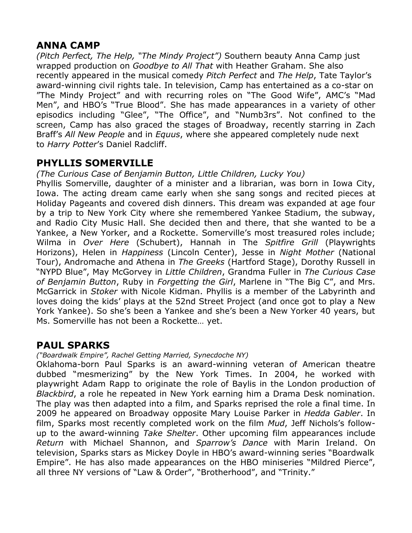### **ANNA CAMP**

*(Pitch Perfect, The Help, "The Mindy Project")* Southern beauty Anna Camp just wrapped production on *Goodbye to All That* with Heather Graham. She also recently appeared in the musical comedy *Pitch Perfect* and *The Help*, Tate Taylor's award-winning civil rights tale. In television, Camp has entertained as a co-star on "The Mindy Project" and with recurring roles on "The Good Wife", AMC's "Mad Men", and HBO's "True Blood". She has made appearances in a variety of other episodics including "Glee", "The Office", and "Numb3rs". Not confined to the screen, Camp has also graced the stages of Broadway, recently starring in Zach Braff's *All New People* and in *Equus*, where she appeared completely nude next to *Harry Potter*'s Daniel Radcliff.

## **PHYLLIS SOMERVILLE**

*(The Curious Case of Benjamin Button, Little Children, Lucky You)*

Phyllis Somerville, daughter of a minister and a librarian, was born in Iowa City, Iowa. The acting dream came early when she sang songs and recited pieces at Holiday Pageants and covered dish dinners. This dream was expanded at age four by a trip to New York City where she remembered Yankee Stadium, the subway, and Radio City Music Hall. She decided then and there, that she wanted to be a Yankee, a New Yorker, and a Rockette. Somerville's most treasured roles include; Wilma in *Over Here* (Schubert), Hannah in The *Spitfire Grill* (Playwrights Horizons), Helen in *Happiness* (Lincoln Center), Jesse in *Night Mother* (National Tour), Andromache and Athena in *The Greeks* (Hartford Stage), Dorothy Russell in "NYPD Blue", May McGorvey in *Little Children*, Grandma Fuller in *The Curious Case of Benjamin Button*, Ruby in *Forgetting the Girl*, Marlene in "The Big C", and Mrs. McGarrick in *Stoker* with Nicole Kidman. Phyllis is a member of the Labyrinth and loves doing the kids' plays at the 52nd Street Project (and once got to play a New York Yankee). So she's been a Yankee and she's been a New Yorker 40 years, but Ms. Somerville has not been a Rockette… yet.

### **PAUL SPARKS**

*("Boardwalk Empire", Rachel Getting Married, Synecdoche NY)*

Oklahoma-born Paul Sparks is an award-winning veteran of American theatre dubbed "mesmerizing" by the New York Times. In 2004, he worked with playwright Adam Rapp to originate the role of Baylis in the London production of *Blackbird*, a role he repeated in New York earning him a Drama Desk nomination. The play was then adapted into a film, and Sparks reprised the role a final time. In 2009 he appeared on Broadway opposite Mary Louise Parker in *Hedda Gabler*. In film, Sparks most recently completed work on the film *Mud*, Jeff Nichols's followup to the award-winning *Take Shelter*. Other upcoming film appearances include *Return* with Michael Shannon, and *Sparrow's Dance* with Marin Ireland. On television, Sparks stars as Mickey Doyle in HBO's award-winning series "Boardwalk Empire". He has also made appearances on the HBO miniseries "Mildred Pierce", all three NY versions of "Law & Order", "Brotherhood", and "Trinity."